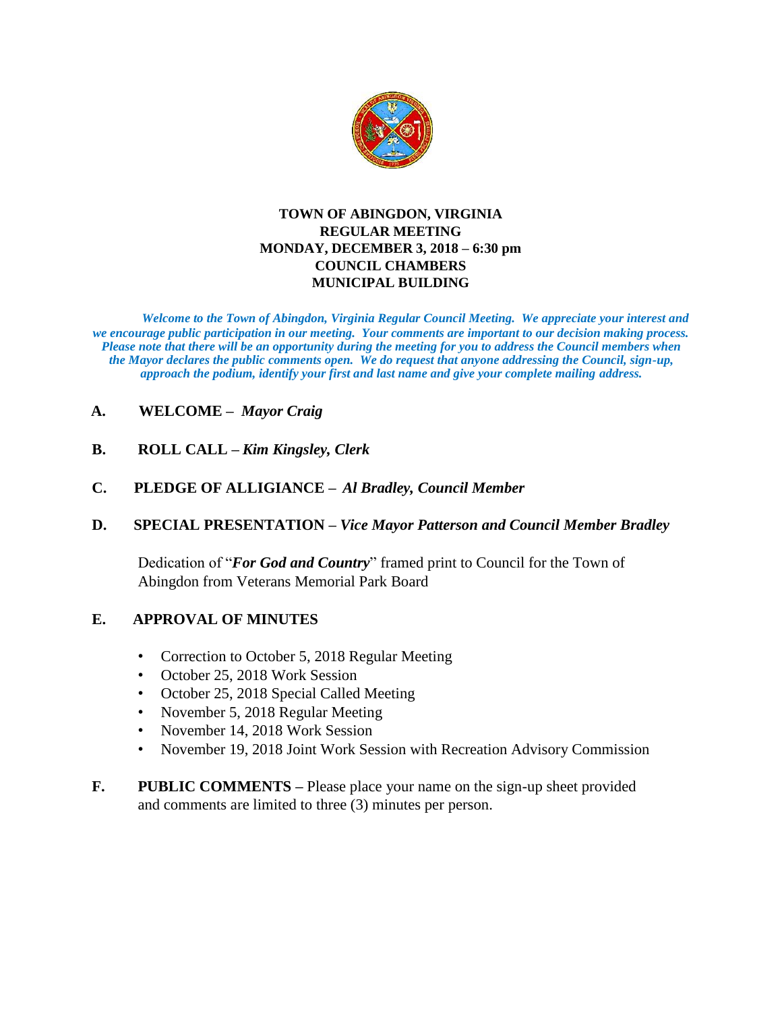

### **TOWN OF ABINGDON, VIRGINIA REGULAR MEETING MONDAY, DECEMBER 3, 2018 – 6:30 pm COUNCIL CHAMBERS MUNICIPAL BUILDING**

*Welcome to the Town of Abingdon, Virginia Regular Council Meeting. We appreciate your interest and we encourage public participation in our meeting. Your comments are important to our decision making process. Please note that there will be an opportunity during the meeting for you to address the Council members when the Mayor declares the public comments open. We do request that anyone addressing the Council, sign-up, approach the podium, identify your first and last name and give your complete mailing address.* 

# **A. WELCOME –** *Mayor Craig*

- **B. ROLL CALL –** *Kim Kingsley, Clerk*
- **C. PLEDGE OF ALLIGIANCE –** *Al Bradley, Council Member*

## **D. SPECIAL PRESENTATION –** *Vice Mayor Patterson and Council Member Bradley*

Dedication of "*For God and Country*" framed print to Council for the Town of Abingdon from Veterans Memorial Park Board

## **E. APPROVAL OF MINUTES**

- Correction to October 5, 2018 Regular Meeting
- October 25, 2018 Work Session
- October 25, 2018 Special Called Meeting
- November 5, 2018 Regular Meeting
- November 14, 2018 Work Session
- November 19, 2018 Joint Work Session with Recreation Advisory Commission
- **F. PUBLIC COMMENTS –** Please place your name on the sign-up sheet provided and comments are limited to three (3) minutes per person.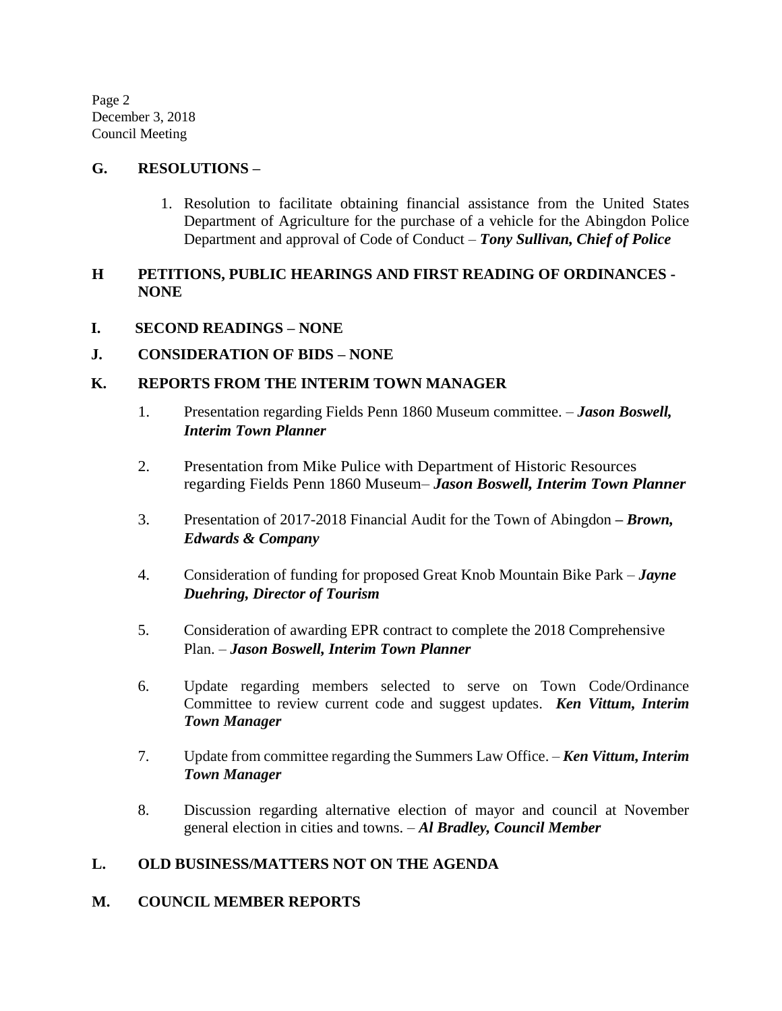Page 2 December 3, 2018 Council Meeting

### **G. RESOLUTIONS –**

1. Resolution to facilitate obtaining financial assistance from the United States Department of Agriculture for the purchase of a vehicle for the Abingdon Police Department and approval of Code of Conduct – *Tony Sullivan, Chief of Police*

## **H PETITIONS, PUBLIC HEARINGS AND FIRST READING OF ORDINANCES - NONE**

**I. SECOND READINGS – NONE**

### **J. CONSIDERATION OF BIDS – NONE**

### **K. REPORTS FROM THE INTERIM TOWN MANAGER**

- 1. Presentation regarding Fields Penn 1860 Museum committee. *Jason Boswell, Interim Town Planner*
- 2. Presentation from Mike Pulice with Department of Historic Resources regarding Fields Penn 1860 Museum– *Jason Boswell, Interim Town Planner*
- 3. Presentation of 2017-2018 Financial Audit for the Town of Abingdon *– Brown, Edwards & Company*
- 4. Consideration of funding for proposed Great Knob Mountain Bike Park *Jayne Duehring, Director of Tourism*
- 5. Consideration of awarding EPR contract to complete the 2018 Comprehensive Plan. – *Jason Boswell, Interim Town Planner*
- 6. Update regarding members selected to serve on Town Code/Ordinance Committee to review current code and suggest updates. *Ken Vittum, Interim Town Manager*
- 7. Update from committee regarding the Summers Law Office. *Ken Vittum, Interim Town Manager*
- 8. Discussion regarding alternative election of mayor and council at November general election in cities and towns. – *Al Bradley, Council Member*

## **L. OLD BUSINESS/MATTERS NOT ON THE AGENDA**

### **M. COUNCIL MEMBER REPORTS**